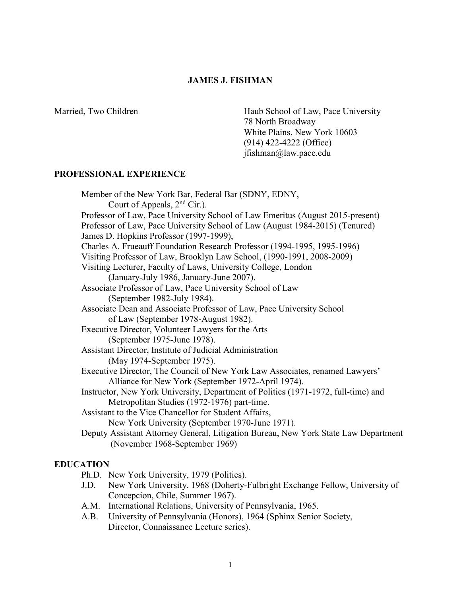### **JAMES J. FISHMAN**

Married, Two Children **Haub School of Law**, Pace University 78 North Broadway White Plains, New York 10603 (914) 422-4222 (Office) jfishman@law.pace.edu

# **PROFESSIONAL EXPERIENCE**

Member of the New York Bar, Federal Bar (SDNY, EDNY, Court of Appeals, 2nd Cir.). Professor of Law, Pace University School of Law Emeritus (August 2015-present) Professor of Law, Pace University School of Law (August 1984-2015) (Tenured) James D. Hopkins Professor (1997-1999), Charles A. Frueauff Foundation Research Professor (1994-1995, 1995-1996) Visiting Professor of Law, Brooklyn Law School, (1990-1991, 2008-2009) Visiting Lecturer, Faculty of Laws, University College, London (January-July 1986, January-June 2007). Associate Professor of Law, Pace University School of Law (September 1982-July 1984). Associate Dean and Associate Professor of Law, Pace University School of Law (September 1978-August 1982). Executive Director, Volunteer Lawyers for the Arts (September 1975-June 1978). Assistant Director, Institute of Judicial Administration (May 1974-September 1975). Executive Director, The Council of New York Law Associates, renamed Lawyers' Alliance for New York (September 1972-April 1974). Instructor, New York University, Department of Politics (1971-1972, full-time) and Metropolitan Studies (1972-1976) part-time. Assistant to the Vice Chancellor for Student Affairs, New York University (September 1970-June 1971). Deputy Assistant Attorney General, Litigation Bureau, New York State Law Department (November 1968-September 1969)

# **EDUCATION**

Ph.D. New York University, 1979 (Politics).

- J.D. New York University. 1968 (Doherty-Fulbright Exchange Fellow, University of Concepcion, Chile, Summer 1967).
- A.M. International Relations, University of Pennsylvania, 1965.
- A.B. University of Pennsylvania (Honors), 1964 (Sphinx Senior Society, Director, Connaissance Lecture series).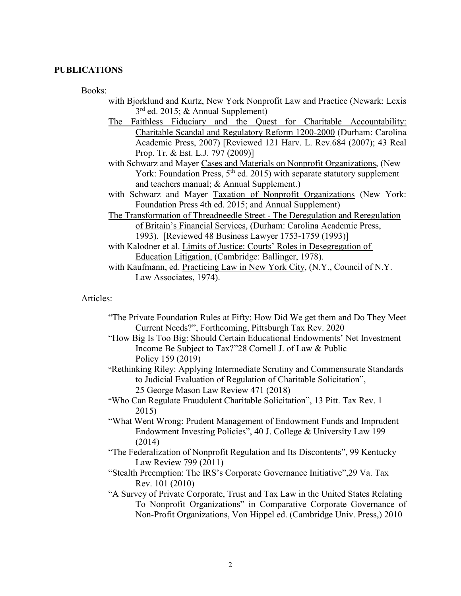### **PUBLICATIONS**

Books:

- with Bjorklund and Kurtz, New York Nonprofit Law and Practice (Newark: Lexis 3rd ed. 2015; & Annual Supplement)
- The Faithless Fiduciary and the Quest for Charitable Accountability: Charitable Scandal and Regulatory Reform 1200-2000 (Durham: Carolina Academic Press, 2007) [Reviewed 121 Harv. L. Rev.684 (2007); 43 Real Prop. Tr. & Est. L.J. 797 (2009)]
- with Schwarz and Mayer Cases and Materials on Nonprofit Organizations, (New York: Foundation Press,  $5<sup>th</sup>$  ed. 2015) with separate statutory supplement and teachers manual; & Annual Supplement.)
- with Schwarz and Mayer Taxation of Nonprofit Organizations (New York: Foundation Press 4th ed. 2015; and Annual Supplement)
- The Transformation of Threadneedle Street The Deregulation and Reregulation of Britain's Financial Services, (Durham: Carolina Academic Press, 1993). [Reviewed 48 Business Lawyer 1753-1759 (1993)]
- with Kalodner et al. Limits of Justice: Courts' Roles in Desegregation of Education Litigation, (Cambridge: Ballinger, 1978).
- with Kaufmann, ed. Practicing Law in New York City, (N.Y., Council of N.Y. Law Associates, 1974).

# Articles:

- "The Private Foundation Rules at Fifty: How Did We get them and Do They Meet Current Needs?", Forthcoming, Pittsburgh Tax Rev. 2020
- "How Big Is Too Big: Should Certain Educational Endowments' Net Investment Income Be Subject to Tax?"28 Cornell J. of Law & Public Policy 159 (2019)
- "Rethinking Riley: Applying Intermediate Scrutiny and Commensurate Standards to Judicial Evaluation of Regulation of Charitable Solicitation", 25 George Mason Law Review 471 (2018)
- "Who Can Regulate Fraudulent Charitable Solicitation", 13 Pitt. Tax Rev. 1 2015)
- "What Went Wrong: Prudent Management of Endowment Funds and Imprudent Endowment Investing Policies", 40 J. College & University Law 199 (2014)
- "The Federalization of Nonprofit Regulation and Its Discontents", 99 Kentucky Law Review 799 (2011)
- "Stealth Preemption: The IRS's Corporate Governance Initiative",29 Va. Tax Rev. 101 (2010)
- "A Survey of Private Corporate, Trust and Tax Law in the United States Relating To Nonprofit Organizations" in Comparative Corporate Governance of Non-Profit Organizations, Von Hippel ed. (Cambridge Univ. Press,) 2010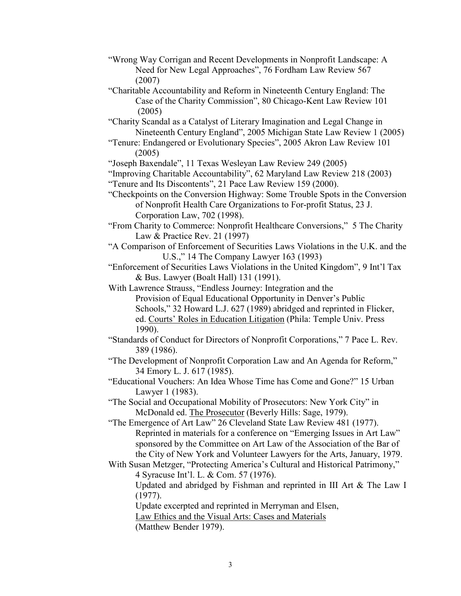- "Wrong Way Corrigan and Recent Developments in Nonprofit Landscape: A Need for New Legal Approaches", 76 Fordham Law Review 567 (2007)
- "Charitable Accountability and Reform in Nineteenth Century England: The Case of the Charity Commission", 80 Chicago-Kent Law Review 101 (2005)
- "Charity Scandal as a Catalyst of Literary Imagination and Legal Change in Nineteenth Century England", 2005 Michigan State Law Review 1 (2005)
- "Tenure: Endangered or Evolutionary Species", 2005 Akron Law Review 101 (2005)

"Joseph Baxendale", 11 Texas Wesleyan Law Review 249 (2005)

"Improving Charitable Accountability", 62 Maryland Law Review 218 (2003)

- "Tenure and Its Discontents", 21 Pace Law Review 159 (2000).
- "Checkpoints on the Conversion Highway: Some Trouble Spots in the Conversion of Nonprofit Health Care Organizations to For-profit Status, 23 J. Corporation Law, 702 (1998).
- "From Charity to Commerce: Nonprofit Healthcare Conversions," 5 The Charity Law & Practice Rev. 21 (1997)
- "A Comparison of Enforcement of Securities Laws Violations in the U.K. and the U.S.," 14 The Company Lawyer 163 (1993)

"Enforcement of Securities Laws Violations in the United Kingdom", 9 Int'l Tax & Bus. Lawyer (Boalt Hall) 131 (1991).

With Lawrence Strauss, "Endless Journey: Integration and the Provision of Equal Educational Opportunity in Denver's Public Schools," 32 Howard L.J. 627 (1989) abridged and reprinted in Flicker, ed. Courts' Roles in Education Litigation (Phila: Temple Univ. Press 1990).

"Standards of Conduct for Directors of Nonprofit Corporations," 7 Pace L. Rev. 389 (1986).

"The Development of Nonprofit Corporation Law and An Agenda for Reform," 34 Emory L. J. 617 (1985).

"Educational Vouchers: An Idea Whose Time has Come and Gone?" 15 Urban Lawyer 1 (1983).

"The Social and Occupational Mobility of Prosecutors: New York City" in McDonald ed. The Prosecutor (Beverly Hills: Sage, 1979).

"The Emergence of Art Law" 26 Cleveland State Law Review 481 (1977). Reprinted in materials for a conference on "Emerging Issues in Art Law" sponsored by the Committee on Art Law of the Association of the Bar of the City of New York and Volunteer Lawyers for the Arts, January, 1979.

With Susan Metzger, "Protecting America's Cultural and Historical Patrimony," 4 Syracuse Int'l. L. & Com. 57 (1976).

Updated and abridged by Fishman and reprinted in III Art & The Law I (1977).

Update excerpted and reprinted in Merryman and Elsen, Law Ethics and the Visual Arts: Cases and Materials

(Matthew Bender 1979).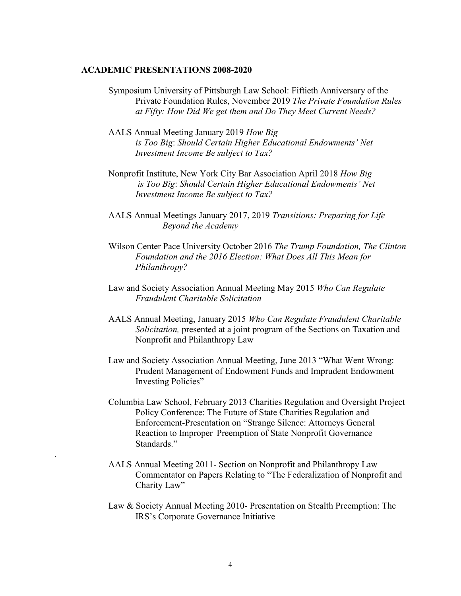### **ACADEMIC PRESENTATIONS 2008-2020**

.

- Symposium University of Pittsburgh Law School: Fiftieth Anniversary of the Private Foundation Rules, November 2019 *The Private Foundation Rules at Fifty: How Did We get them and Do They Meet Current Needs?*
- AALS Annual Meeting January 2019 *How Big is Too Big*: *Should Certain Higher Educational Endowments' Net Investment Income Be subject to Tax?*
- Nonprofit Institute, New York City Bar Association April 2018 *How Big is Too Big*: *Should Certain Higher Educational Endowments' Net Investment Income Be subject to Tax?*
- AALS Annual Meetings January 2017, 2019 *Transitions: Preparing for Life Beyond the Academy*
- Wilson Center Pace University October 2016 *The Trump Foundation, The Clinton Foundation and the 2016 Election: What Does All This Mean for Philanthropy?*
- Law and Society Association Annual Meeting May 2015 *Who Can Regulate Fraudulent Charitable Solicitation*
- AALS Annual Meeting, January 2015 *Who Can Regulate Fraudulent Charitable Solicitation,* presented at a joint program of the Sections on Taxation and Nonprofit and Philanthropy Law
- Law and Society Association Annual Meeting, June 2013 "What Went Wrong: Prudent Management of Endowment Funds and Imprudent Endowment Investing Policies"
- Columbia Law School, February 2013 Charities Regulation and Oversight Project Policy Conference: The Future of State Charities Regulation and Enforcement-Presentation on "Strange Silence: Attorneys General Reaction to Improper Preemption of State Nonprofit Governance Standards."
- AALS Annual Meeting 2011- Section on Nonprofit and Philanthropy Law Commentator on Papers Relating to "The Federalization of Nonprofit and Charity Law"
- Law & Society Annual Meeting 2010- Presentation on Stealth Preemption: The IRS's Corporate Governance Initiative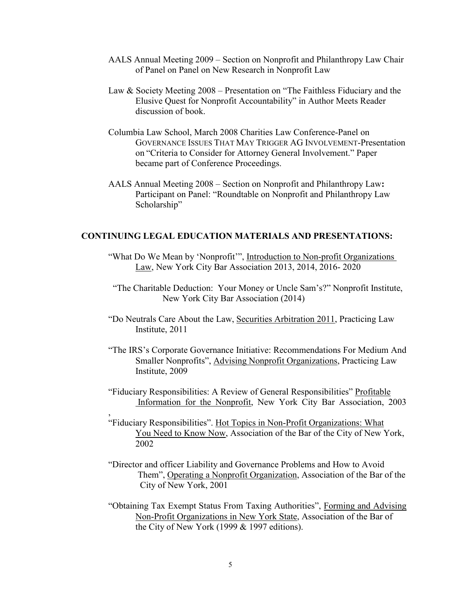- AALS Annual Meeting 2009 Section on Nonprofit and Philanthropy Law Chair of Panel on Panel on New Research in Nonprofit Law
- Law & Society Meeting 2008 Presentation on "The Faithless Fiduciary and the Elusive Quest for Nonprofit Accountability" in Author Meets Reader discussion of book.
- Columbia Law School, March 2008 Charities Law Conference-Panel on GOVERNANCE ISSUES THAT MAY TRIGGER AG INVOLVEMENT-Presentation on "Criteria to Consider for Attorney General Involvement." Paper became part of Conference Proceedings.
- AALS Annual Meeting 2008 Section on Nonprofit and Philanthropy Law**:** Participant on Panel: "Roundtable on Nonprofit and Philanthropy Law Scholarship"

# **CONTINUING LEGAL EDUCATION MATERIALS AND PRESENTATIONS:**

- "What Do We Mean by 'Nonprofit'", Introduction to Non-profit Organizations Law, New York City Bar Association 2013, 2014, 2016- 2020
- "The Charitable Deduction: Your Money or Uncle Sam's?" Nonprofit Institute, New York City Bar Association (2014)
- "Do Neutrals Care About the Law, Securities Arbitration 2011, Practicing Law Institute, 2011
- "The IRS's Corporate Governance Initiative: Recommendations For Medium And Smaller Nonprofits", Advising Nonprofit Organizations, Practicing Law Institute, 2009
- "Fiduciary Responsibilities: A Review of General Responsibilities" Profitable Information for the Nonprofit, New York City Bar Association, 2003

,

- "Fiduciary Responsibilities". Hot Topics in Non-Profit Organizations: What You Need to Know Now, Association of the Bar of the City of New York, 2002
- "Director and officer Liability and Governance Problems and How to Avoid Them", Operating a Nonprofit Organization, Association of the Bar of the City of New York, 2001
- "Obtaining Tax Exempt Status From Taxing Authorities", Forming and Advising Non-Profit Organizations in New York State, Association of the Bar of the City of New York (1999 & 1997 editions).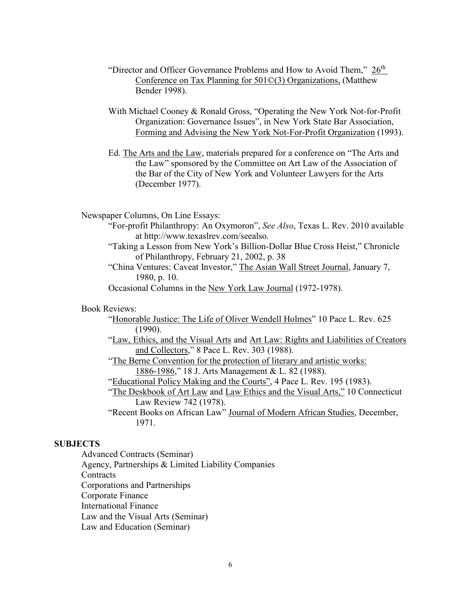- "Director and Officer Governance Problems and How to Avoid Them," 26<sup>th</sup> Conference on Tax Planning for 501©(3) Organizations, (Matthew Bender 1998).
- With Michael Cooney & Ronald Gross, "Operating the New York Not-for-Profit Organization: Governance Issues", in New York State Bar Association, Forming and Advising the New York Not-For-Profit Organization (1993).
- Ed. The Arts and the Law, materials prepared for a conference on "The Arts and the Law" sponsored by the Committee on Art Law of the Association of the Bar of the City of New York and Volunteer Lawyers for the Arts (December 1977).

Newspaper Columns, On Line Essays:

- "For-profit Philanthropy: An Oxymoron", *See Also*, Texas L. Rev. 2010 available at http://www.texaslrev.com/seealso.
- "Taking a Lesson from New York's Billion-Dollar Blue Cross Heist," Chronicle of Philanthropy, February 21, 2002, p. 38
- "China Ventures: Caveat Investor," The Asian Wall Street Journal, January 7, 1980, p. 10.
- Occasional Columns in the New York Law Journal (1972-1978).

Book Reviews:

- "Honorable Justice: The Life of Oliver Wendell Holmes" 10 Pace L. Rev. 625 (1990).
- "Law, Ethics, and the Visual Arts and Art Law: Rights and Liabilities of Creators and Collectors," 8 Pace L. Rev. 303 (1988).
- "The Berne Convention for the protection of literary and artistic works: 1886-1986," 18 J. Arts Management & L. 82 (1988).
- "Educational Policy Making and the Courts", 4 Pace L. Rev. 195 (1983).
- "The Deskbook of Art Law and Law Ethics and the Visual Arts," 10 Connecticut Law Review 742 (1978).
- "Recent Books on African Law" Journal of Modern African Studies, December, 1971.

# **SUBJECTS**

Advanced Contracts (Seminar)

Agency, Partnerships & Limited Liability Companies

Contracts

Corporations and Partnerships

Corporate Finance

International Finance

Law and the Visual Arts (Seminar)

Law and Education (Seminar)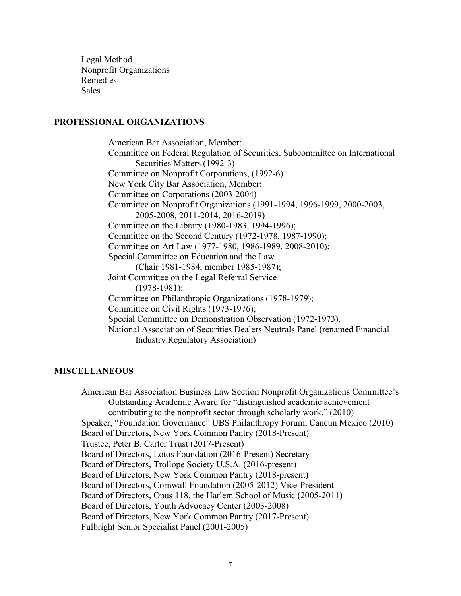Legal Method Nonprofit Organizations Remedies Sales

### **PROFESSIONAL ORGANIZATIONS**

 American Bar Association, Member: Committee on Federal Regulation of Securities, Subcommittee on International Securities Matters (1992-3) Committee on Nonprofit Corporations, (1992-6) New York City Bar Association, Member: Committee on Corporations (2003-2004) Committee on Nonprofit Organizations (1991-1994, 1996-1999, 2000-2003, 2005-2008, 2011-2014, 2016-2019) Committee on the Library (1980-1983, 1994-1996); Committee on the Second Century (1972-1978, 1987-1990); Committee on Art Law (1977-1980, 1986-1989, 2008-2010); Special Committee on Education and the Law (Chair 1981-1984; member 1985-1987); Joint Committee on the Legal Referral Service (1978-1981); Committee on Philanthropic Organizations (1978-1979); Committee on Civil Rights (1973-1976); Special Committee on Demonstration Observation (1972-1973). National Association of Securities Dealers Neutrals Panel (renamed Financial Industry Regulatory Association)

#### **MISCELLANEOUS**

American Bar Association Business Law Section Nonprofit Organizations Committee's Outstanding Academic Award for "distinguished academic achievement contributing to the nonprofit sector through scholarly work." (2010) Speaker, "Foundation Governance" UBS Philanthropy Forum, Cancun Mexico (2010) Board of Directors, New York Common Pantry (2018-Present) Trustee, Peter B. Carter Trust (2017-Present) Board of Directors, Lotos Foundation (2016-Present) Secretary Board of Directors, Trollope Society U.S.A. (2016-present) Board of Directors, New York Common Pantry (2018-present) Board of Directors, Cornwall Foundation (2005-2012) Vice-President Board of Directors, Opus 118, the Harlem School of Music (2005-2011) Board of Directors, Youth Advocacy Center (2003-2008) Board of Directors, New York Common Pantry (2017-Present) Fulbright Senior Specialist Panel (2001-2005)